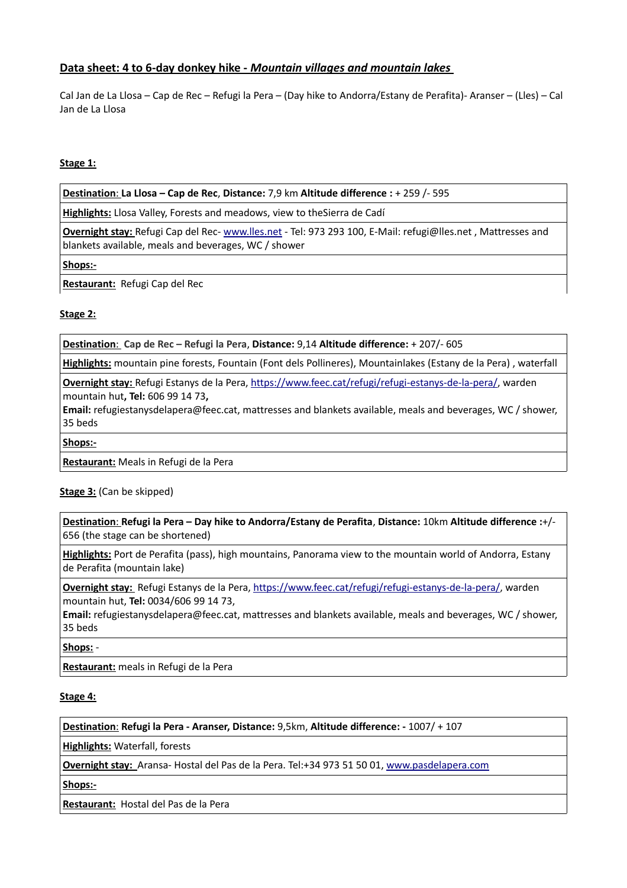# **Data sheet: 4 to 6-day donkey hike -** *Mountain villages and mountain lakes*

Cal Jan de La Llosa – Cap de Rec – Refugi la Pera – (Day hike to Andorra/Estany de Perafita)- Aranser – (Lles) – Cal Jan de La Llosa

### **Stage 1:**

 **Destination**: **La Llosa – Cap de Rec**, **Distance:** 7,9 km **Altitude difference :** + 259 /- 595

**Highlights:** Llosa Valley, Forests and meadows, view to theSierra de Cadí

**Overnight stay:** Refugi Cap del Rec- [www.lles.net](http://www.lles.net/) - Tel: 973 293 100, E-Mail: refugi@lles.net , Mattresses and blankets available, meals and beverages, WC / shower

**Shops:-**

**Restaurant:** Refugi Cap del Rec

## **Stage 2:**

 **Destination**: **Cap de Rec – Refugi la Pera**, **Distance:** 9,14 **Altitude difference:** + 207/- 605

**Highlights:** mountain pine forests, Fountain (Font dels Pollineres), Mountainlakes (Estany de la Pera) , waterfall

**Overnight stay:** Refugi Estanys de la Pera, [https://www.feec.cat/refugi/refugi-estanys-de-la-pera/,](https://www.feec.cat/refugi/refugi-estanys-de-la-pera/) warden mountain hut**, Tel:** 606 99 14 73**,** 

**Email:** refugiestanysdelapera@feec.cat, mattresses and blankets available, meals and beverages, WC / shower, 35 beds

**Shops:-**

**Restaurant:** Meals in Refugi de la Pera

#### **Stage 3:** (Can be skipped)

 **Destination** : **Refugi la Pera – Day hike to Andorra/Estany de Perafita**, **Distance:** 10km **Altitude difference :**+/- 656 (the stage can be shortened)

**Highlights:** Port de Perafita (pass), high mountains, Panorama view to the mountain world of Andorra, Estany de Perafita (mountain lake)

**Overnight stay:** Refugi Estanys de la Pera, [https://www.feec.cat/refugi/refugi-estanys-de-la-pera/,](https://www.feec.cat/refugi/refugi-estanys-de-la-pera/) warden mountain hut, **Tel:** 0034/606 99 14 73,

**Email:** refugiestanysdelapera@feec.cat, mattresses and blankets available, meals and beverages, WC / shower, 35 beds

**Shops:** -

**Restaurant:** meals in Refugi de la Pera

#### **Stage 4:**

 **Destination**: **Refugi la Pera - Aranser, Distance:** 9,5km, **Altitude difference: -** 1007/ + 107

**Highlights:** Waterfall, forests

**Overnight stay:** Aransa- Hostal del Pas de la Pera. Tel:+34 973 51 50 01, [www.pasdelapera.com](http://www.pasdelapera.com/)

**Shops:-**

**Restaurant:** Hostal del Pas de la Pera